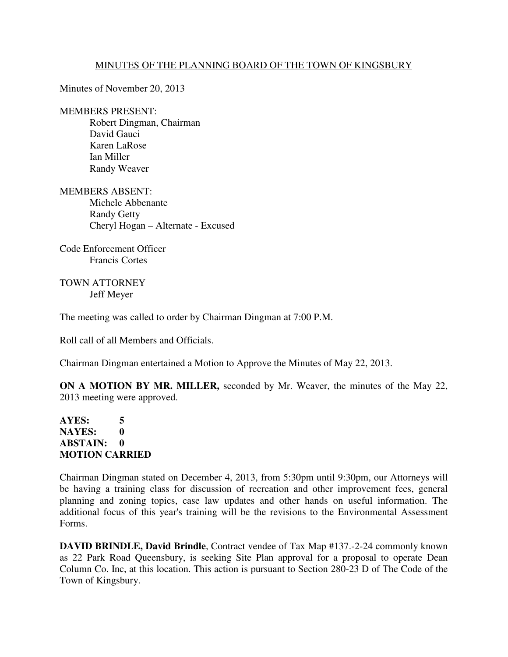## MINUTES OF THE PLANNING BOARD OF THE TOWN OF KINGSBURY

Minutes of November 20, 2013

## MEMBERS PRESENT:

 Robert Dingman, Chairman David Gauci Karen LaRose Ian Miller Randy Weaver

MEMBERS ABSENT: Michele Abbenante Randy Getty Cheryl Hogan – Alternate - Excused

Code Enforcement Officer Francis Cortes

TOWN ATTORNEY Jeff Meyer

The meeting was called to order by Chairman Dingman at 7:00 P.M.

Roll call of all Members and Officials.

Chairman Dingman entertained a Motion to Approve the Minutes of May 22, 2013.

**ON A MOTION BY MR. MILLER,** seconded by Mr. Weaver, the minutes of the May 22, 2013 meeting were approved.

## **AYES: 5 NAYES: 0 ABSTAIN: 0 MOTION CARRIED**

Chairman Dingman stated on December 4, 2013, from 5:30pm until 9:30pm, our Attorneys will be having a training class for discussion of recreation and other improvement fees, general planning and zoning topics, case law updates and other hands on useful information. The additional focus of this year's training will be the revisions to the Environmental Assessment Forms.

**DAVID BRINDLE, David Brindle**, Contract vendee of Tax Map #137.-2-24 commonly known as 22 Park Road Queensbury, is seeking Site Plan approval for a proposal to operate Dean Column Co. Inc, at this location. This action is pursuant to Section 280-23 D of The Code of the Town of Kingsbury.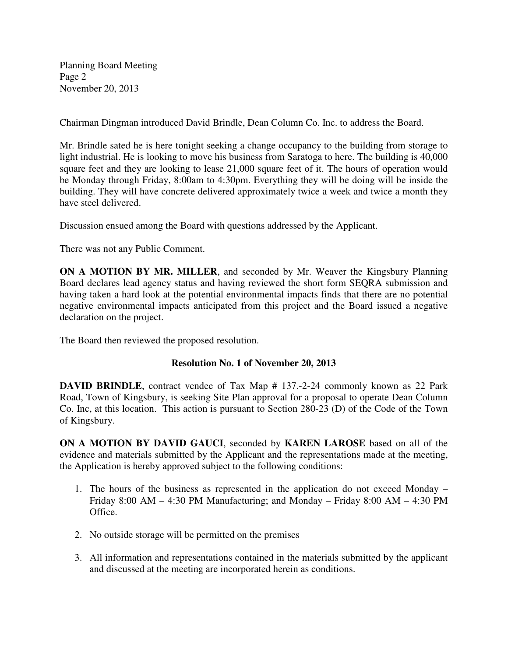Planning Board Meeting Page 2 November 20, 2013

Chairman Dingman introduced David Brindle, Dean Column Co. Inc. to address the Board.

Mr. Brindle sated he is here tonight seeking a change occupancy to the building from storage to light industrial. He is looking to move his business from Saratoga to here. The building is 40,000 square feet and they are looking to lease 21,000 square feet of it. The hours of operation would be Monday through Friday, 8:00am to 4:30pm. Everything they will be doing will be inside the building. They will have concrete delivered approximately twice a week and twice a month they have steel delivered.

Discussion ensued among the Board with questions addressed by the Applicant.

There was not any Public Comment.

**ON A MOTION BY MR. MILLER**, and seconded by Mr. Weaver the Kingsbury Planning Board declares lead agency status and having reviewed the short form SEQRA submission and having taken a hard look at the potential environmental impacts finds that there are no potential negative environmental impacts anticipated from this project and the Board issued a negative declaration on the project.

The Board then reviewed the proposed resolution.

## **Resolution No. 1 of November 20, 2013**

**DAVID BRINDLE**, contract vendee of Tax Map # 137.-2-24 commonly known as 22 Park Road, Town of Kingsbury, is seeking Site Plan approval for a proposal to operate Dean Column Co. Inc, at this location. This action is pursuant to Section 280-23 (D) of the Code of the Town of Kingsbury.

**ON A MOTION BY DAVID GAUCI**, seconded by **KAREN LAROSE** based on all of the evidence and materials submitted by the Applicant and the representations made at the meeting, the Application is hereby approved subject to the following conditions:

- 1. The hours of the business as represented in the application do not exceed Monday Friday 8:00 AM – 4:30 PM Manufacturing; and Monday – Friday 8:00 AM – 4:30 PM Office.
- 2. No outside storage will be permitted on the premises
- 3. All information and representations contained in the materials submitted by the applicant and discussed at the meeting are incorporated herein as conditions.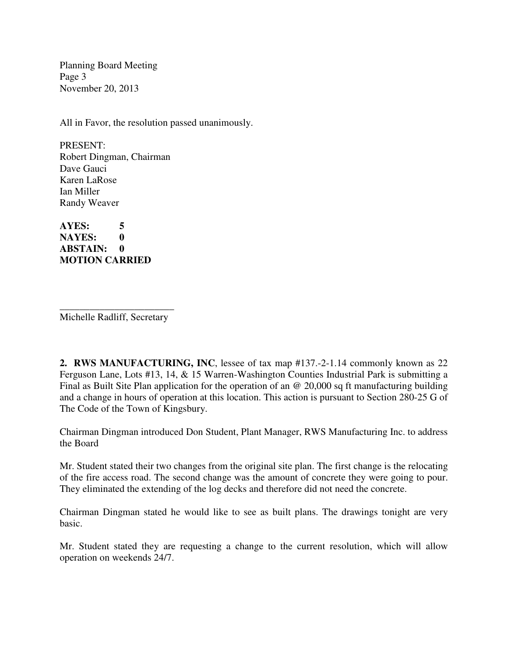Planning Board Meeting Page 3 November 20, 2013

All in Favor, the resolution passed unanimously.

PRESENT: Robert Dingman, Chairman Dave Gauci Karen LaRose Ian Miller Randy Weaver

**AYES: 5 NAYES: 0 ABSTAIN: 0 MOTION CARRIED** 

\_\_\_\_\_\_\_\_\_\_\_\_\_\_\_\_\_\_\_\_\_\_\_ Michelle Radliff, Secretary

**2. RWS MANUFACTURING, INC**, lessee of tax map #137.-2-1.14 commonly known as 22 Ferguson Lane, Lots #13, 14, & 15 Warren-Washington Counties Industrial Park is submitting a Final as Built Site Plan application for the operation of an @ 20,000 sq ft manufacturing building and a change in hours of operation at this location. This action is pursuant to Section 280-25 G of The Code of the Town of Kingsbury.

Chairman Dingman introduced Don Student, Plant Manager, RWS Manufacturing Inc. to address the Board

Mr. Student stated their two changes from the original site plan. The first change is the relocating of the fire access road. The second change was the amount of concrete they were going to pour. They eliminated the extending of the log decks and therefore did not need the concrete.

Chairman Dingman stated he would like to see as built plans. The drawings tonight are very basic.

Mr. Student stated they are requesting a change to the current resolution, which will allow operation on weekends 24/7.